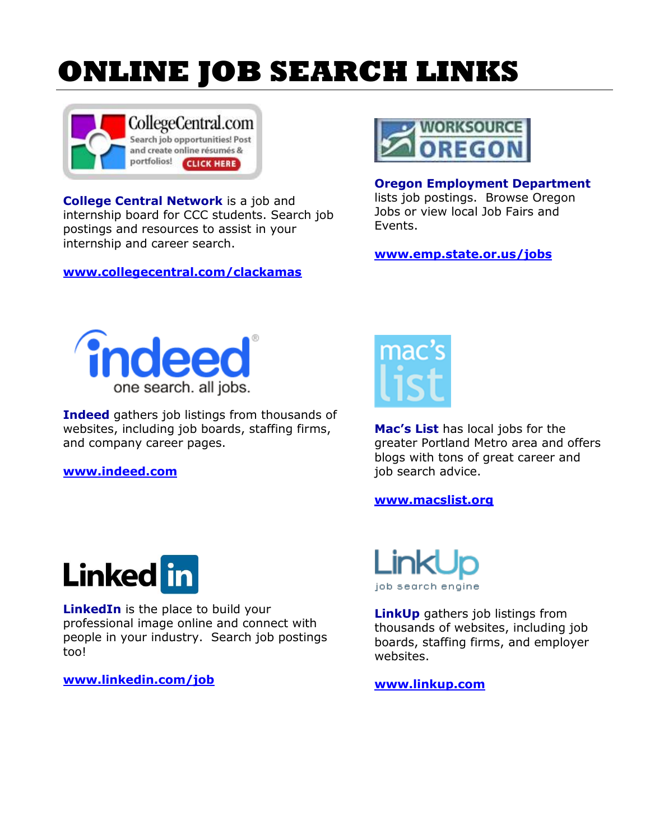## **ONLINE JOB SEARCH LINKS**



**College Central Network** is a job and internship board for CCC students. Search job postings and resources to assist in your internship and career search.

**[www.collegecentral.com/clackamas](http://www.collegecentral.com/clackamas)**



## **Oregon Employment Department**

lists job postings. Browse Oregon Jobs or view local Job Fairs and Events.

**[www.emp.state.or.us/jobs](http://www.emp.state.or.us/jobs)**



**Indeed** gathers job listings from thousands of websites, including job boards, staffing firms, and company career pages.

**[www.indeed.com](http://www.indeed.com/)**



**Mac's List** has local jobs for the greater Portland Metro area and offers blogs with tons of great career and job search advice.

## **[www.macslist.org](http://www.macslist.org/)**



**LinkedIn** is the place to build your professional image online and connect with people in your industry. Search job postings too!

**[www.linkedin.com/job](http://www.linkedin.com/job)**



**LinkUp** gathers job listings from thousands of websites, including job boards, staffing firms, and employer websites.

**[www.linkup.com](http://www.linkup.com/)**